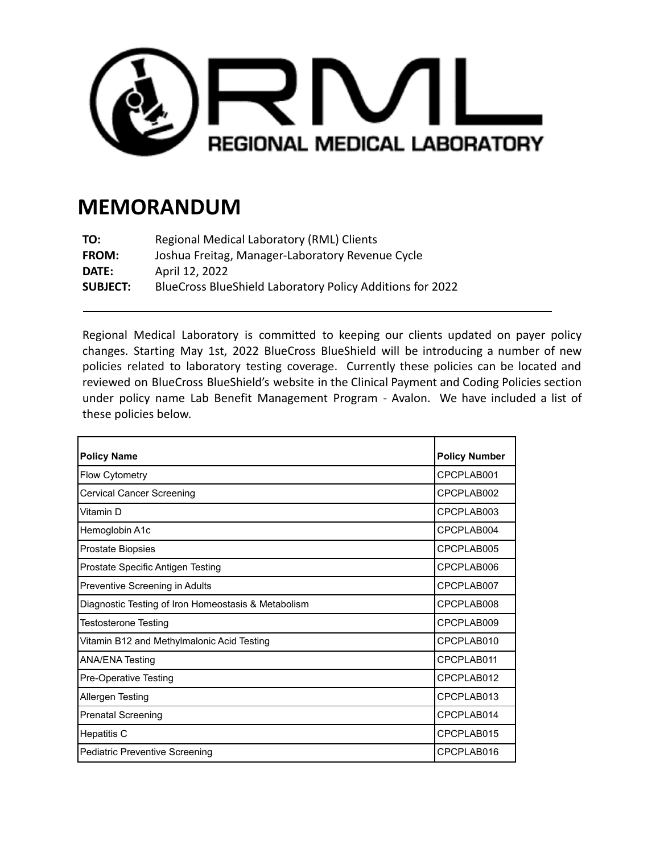

## **MEMORANDUM**

| TO:             | Regional Medical Laboratory (RML) Clients                 |
|-----------------|-----------------------------------------------------------|
| <b>FROM:</b>    | Joshua Freitag, Manager-Laboratory Revenue Cycle          |
| DATE:           | April 12, 2022                                            |
| <b>SUBJECT:</b> | BlueCross BlueShield Laboratory Policy Additions for 2022 |

Regional Medical Laboratory is committed to keeping our clients updated on payer policy changes. Starting May 1st, 2022 BlueCross BlueShield will be introducing a number of new policies related to laboratory testing coverage. Currently these policies can be located and reviewed on BlueCross BlueShield's website in the Clinical Payment and Coding Policies section under policy name Lab Benefit Management Program - Avalon. We have included a list of these policies below.

| <b>Policy Name</b>                                  | <b>Policy Number</b> |
|-----------------------------------------------------|----------------------|
| <b>Flow Cytometry</b>                               | CPCPLAB001           |
| <b>Cervical Cancer Screening</b>                    | CPCPLAB002           |
| Vitamin D                                           | CPCPLAB003           |
| Hemoglobin A1c                                      | CPCPLAB004           |
| <b>Prostate Biopsies</b>                            | CPCPLAB005           |
| Prostate Specific Antigen Testing                   | CPCPLAB006           |
| Preventive Screening in Adults                      | CPCPLAB007           |
| Diagnostic Testing of Iron Homeostasis & Metabolism | CPCPLAB008           |
| <b>Testosterone Testing</b>                         | CPCPLAB009           |
| Vitamin B12 and Methylmalonic Acid Testing          | CPCPLAB010           |
| <b>ANA/ENA Testing</b>                              | CPCPLAB011           |
| Pre-Operative Testing                               | CPCPLAB012           |
| Allergen Testing                                    | CPCPI AB013          |
| <b>Prenatal Screening</b>                           | CPCPLAB014           |
| Hepatitis C                                         | CPCPLAB015           |
| Pediatric Preventive Screening                      | CPCPLAB016           |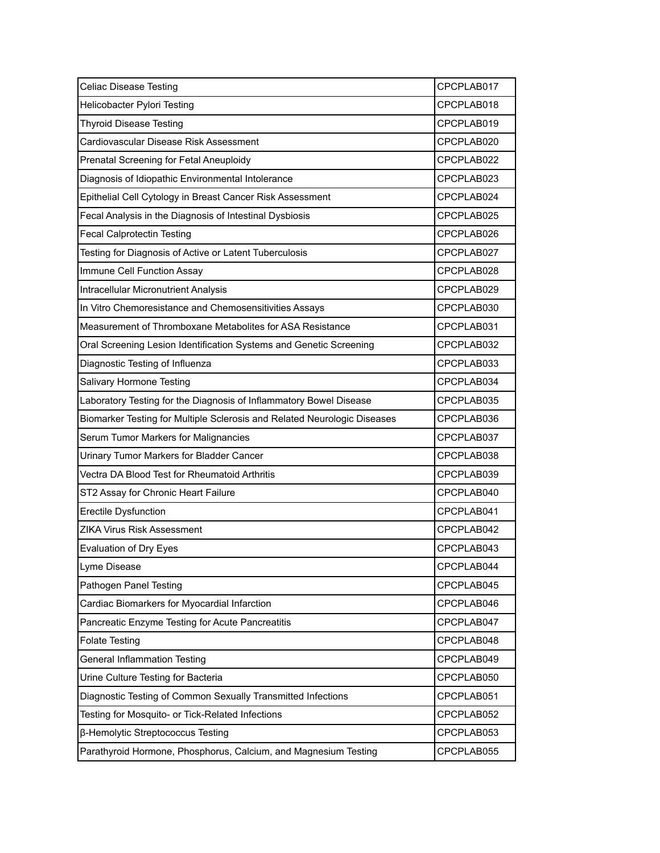| <b>Celiac Disease Testing</b>                                            | CPCPLAB017 |
|--------------------------------------------------------------------------|------------|
| Helicobacter Pylori Testing                                              | CPCPLAB018 |
| <b>Thyroid Disease Testing</b>                                           | CPCPLAB019 |
| Cardiovascular Disease Risk Assessment                                   | CPCPLAB020 |
| Prenatal Screening for Fetal Aneuploidy                                  | CPCPLAB022 |
| Diagnosis of Idiopathic Environmental Intolerance                        | CPCPLAB023 |
| Epithelial Cell Cytology in Breast Cancer Risk Assessment                | CPCPLAB024 |
| Fecal Analysis in the Diagnosis of Intestinal Dysbiosis                  | CPCPLAB025 |
| <b>Fecal Calprotectin Testing</b>                                        | CPCPLAB026 |
| Testing for Diagnosis of Active or Latent Tuberculosis                   | CPCPLAB027 |
| Immune Cell Function Assay                                               | CPCPLAB028 |
| <b>Intracellular Micronutrient Analysis</b>                              | CPCPLAB029 |
| In Vitro Chemoresistance and Chemosensitivities Assays                   | CPCPLAB030 |
| Measurement of Thromboxane Metabolites for ASA Resistance                | CPCPLAB031 |
| Oral Screening Lesion Identification Systems and Genetic Screening       | CPCPLAB032 |
| Diagnostic Testing of Influenza                                          | CPCPLAB033 |
| Salivary Hormone Testing                                                 | CPCPLAB034 |
| Laboratory Testing for the Diagnosis of Inflammatory Bowel Disease       | CPCPLAB035 |
| Biomarker Testing for Multiple Sclerosis and Related Neurologic Diseases | CPCPLAB036 |
| Serum Tumor Markers for Malignancies                                     | CPCPLAB037 |
| Urinary Tumor Markers for Bladder Cancer                                 | CPCPLAB038 |
| Vectra DA Blood Test for Rheumatoid Arthritis                            | CPCPLAB039 |
| ST2 Assay for Chronic Heart Failure                                      | CPCPLAB040 |
| <b>Erectile Dysfunction</b>                                              | CPCPLAB041 |
| ZIKA Virus Risk Assessment                                               | CPCPLAB042 |
| Evaluation of Dry Eyes                                                   | CPCPLAB043 |
| Lyme Disease                                                             | CPCPLAB044 |
| Pathogen Panel Testing                                                   | CPCPLAB045 |
| Cardiac Biomarkers for Myocardial Infarction                             | CPCPLAB046 |
| Pancreatic Enzyme Testing for Acute Pancreatitis                         | CPCPLAB047 |
| <b>Folate Testing</b>                                                    | CPCPLAB048 |
| <b>General Inflammation Testing</b>                                      | CPCPLAB049 |
| Urine Culture Testing for Bacteria                                       | CPCPLAB050 |
| Diagnostic Testing of Common Sexually Transmitted Infections             | CPCPLAB051 |
| Testing for Mosquito- or Tick-Related Infections                         | CPCPLAB052 |
| β-Hemolytic Streptococcus Testing                                        | CPCPLAB053 |
| Parathyroid Hormone, Phosphorus, Calcium, and Magnesium Testing          | CPCPLAB055 |